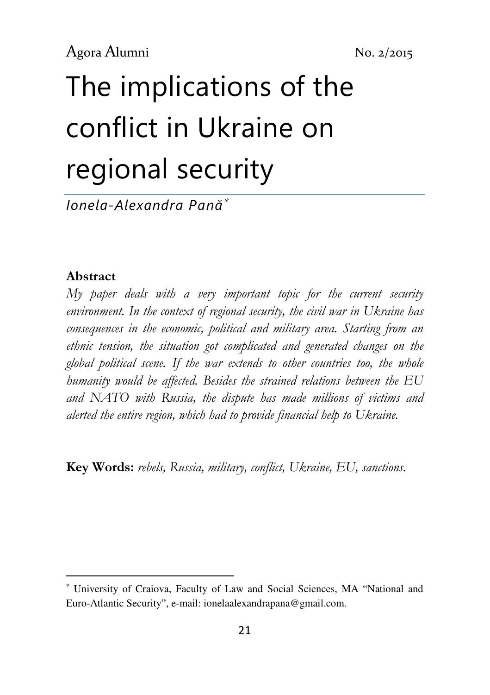# The implications of the conflict in Ukraine on regional security

Ionela-Alexandra Pană<sup>∗</sup>

#### Abstract

l

My paper deals with a very important topic for the current security environment. In the context of regional security, the civil war in Ukraine has consequences in the economic, political and military area. Starting from an ethnic tension, the situation got complicated and generated changes on the global political scene. If the war extends to other countries too, the whole humanity would be affected. Besides the strained relations between the EU and NATO with Russia, the dispute has made millions of victims and alerted the entire region, which had to provide financial help to Ukraine.

Key Words: rebels, Russia, military, conflict, Ukraine, EU, sanctions.

<sup>∗</sup> University of Craiova, Faculty of Law and Social Sciences, MA "National and Euro-Atlantic Security", e-mail: ionelaalexandrapana@gmail.com.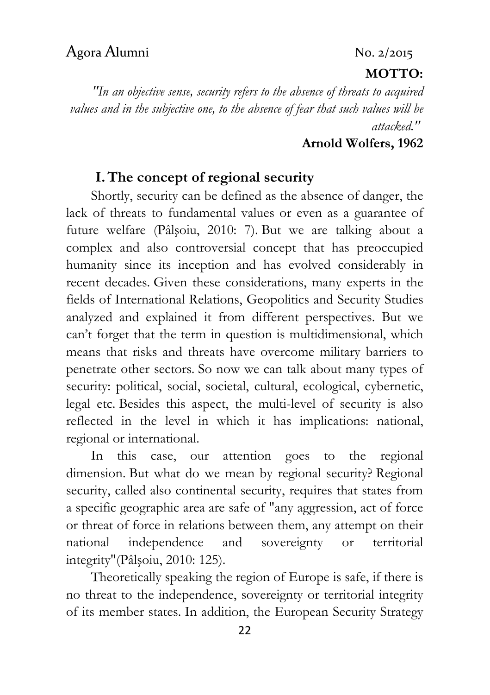#### $MOT'TO·$

"In an objective sense, security refers to the absence of threats to acquired values and in the subjective one, to the absence of fear that such values will be attacked."

#### Arnold Wolfers, 1962

#### I.The concept of regional security

Shortly, security can be defined as the absence of danger, the lack of threats to fundamental values or even as a guarantee of future welfare (Pâlşoiu, 2010: 7). But we are talking about a complex and also controversial concept that has preoccupied humanity since its inception and has evolved considerably in recent decades. Given these considerations, many experts in the fields of International Relations, Geopolitics and Security Studies analyzed and explained it from different perspectives. But we can't forget that the term in question is multidimensional, which means that risks and threats have overcome military barriers to penetrate other sectors. So now we can talk about many types of security: political, social, societal, cultural, ecological, cybernetic, legal etc. Besides this aspect, the multi-level of security is also reflected in the level in which it has implications: national, regional or international.

In this case, our attention goes to the regional dimension. But what do we mean by regional security? Regional security, called also continental security, requires that states from a specific geographic area are safe of "any aggression, act of force or threat of force in relations between them, any attempt on their national independence and sovereignty or territorial integrity"(Pâlşoiu, 2010: 125).

Theoretically speaking the region of Europe is safe, if there is no threat to the independence, sovereignty or territorial integrity of its member states. In addition, the European Security Strategy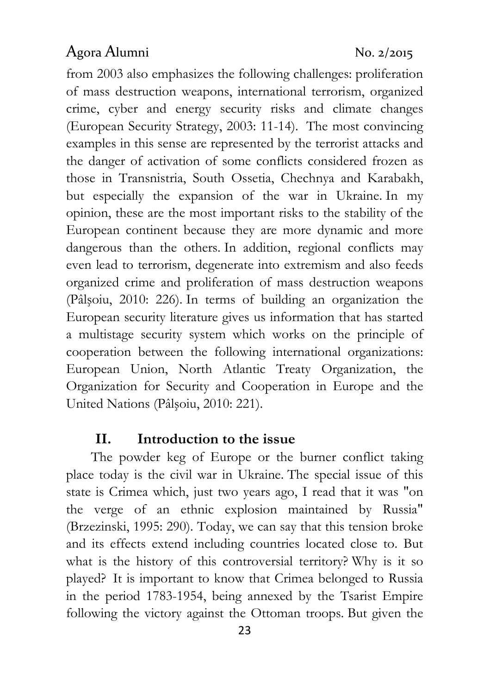from 2003 also emphasizes the following challenges: proliferation of mass destruction weapons, international terrorism, organized crime, cyber and energy security risks and climate changes (European Security Strategy, 2003: 11-14). The most convincing examples in this sense are represented by the terrorist attacks and the danger of activation of some conflicts considered frozen as those in Transnistria, South Ossetia, Chechnya and Karabakh, but especially the expansion of the war in Ukraine. In my opinion, these are the most important risks to the stability of the European continent because they are more dynamic and more dangerous than the others. In addition, regional conflicts may even lead to terrorism, degenerate into extremism and also feeds organized crime and proliferation of mass destruction weapons (Pâlşoiu, 2010: 226). In terms of building an organization the European security literature gives us information that has started a multistage security system which works on the principle of cooperation between the following international organizations: European Union, North Atlantic Treaty Organization, the Organization for Security and Cooperation in Europe and the United Nations (Pâlşoiu, 2010: 221).

#### II. Introduction to the issue

The powder keg of Europe or the burner conflict taking place today is the civil war in Ukraine. The special issue of this state is Crimea which, just two years ago, I read that it was "on the verge of an ethnic explosion maintained by Russia" (Brzezinski, 1995: 290). Today, we can say that this tension broke and its effects extend including countries located close to. But what is the history of this controversial territory? Why is it so played? It is important to know that Crimea belonged to Russia in the period 1783-1954, being annexed by the Tsarist Empire following the victory against the Ottoman troops. But given the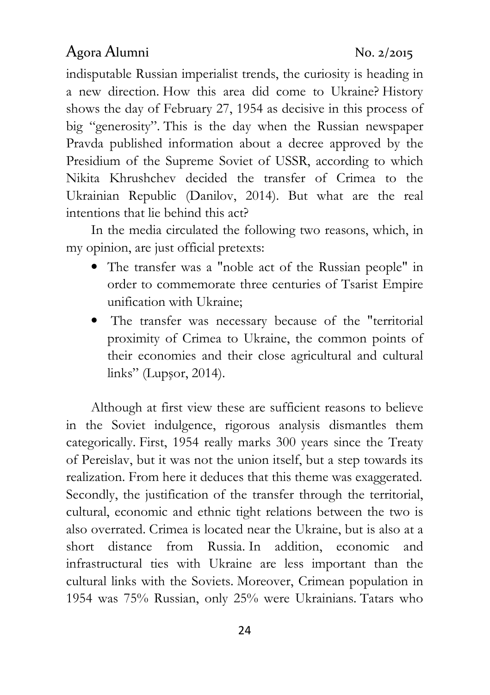indisputable Russian imperialist trends, the curiosity is heading in a new direction. How this area did come to Ukraine? History shows the day of February 27, 1954 as decisive in this process of big "generosity". This is the day when the Russian newspaper Pravda published information about a decree approved by the Presidium of the Supreme Soviet of USSR, according to which Nikita Khrushchev decided the transfer of Crimea to the Ukrainian Republic (Danilov, 2014). But what are the real intentions that lie behind this act?

In the media circulated the following two reasons, which, in my opinion, are just official pretexts:

- The transfer was a "noble act of the Russian people" in order to commemorate three centuries of Tsarist Empire unification with Ukraine;
- The transfer was necessary because of the "territorial proximity of Crimea to Ukraine, the common points of their economies and their close agricultural and cultural links" (Lupşor, 2014).

Although at first view these are sufficient reasons to believe in the Soviet indulgence, rigorous analysis dismantles them categorically. First, 1954 really marks 300 years since the Treaty of Pereislav, but it was not the union itself, but a step towards its realization. From here it deduces that this theme was exaggerated. Secondly, the justification of the transfer through the territorial, cultural, economic and ethnic tight relations between the two is also overrated. Crimea is located near the Ukraine, but is also at a short distance from Russia. In addition, economic and infrastructural ties with Ukraine are less important than the cultural links with the Soviets. Moreover, Crimean population in 1954 was 75% Russian, only 25% were Ukrainians. Tatars who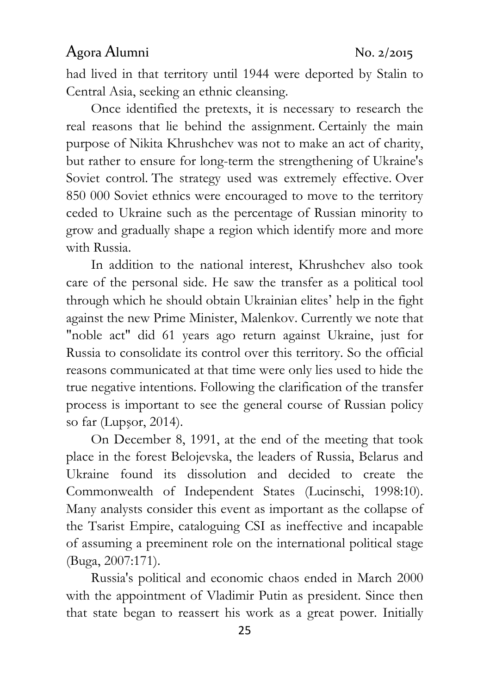had lived in that territory until 1944 were deported by Stalin to Central Asia, seeking an ethnic cleansing.

Once identified the pretexts, it is necessary to research the real reasons that lie behind the assignment. Certainly the main purpose of Nikita Khrushchev was not to make an act of charity, but rather to ensure for long-term the strengthening of Ukraine's Soviet control. The strategy used was extremely effective. Over 850 000 Soviet ethnics were encouraged to move to the territory ceded to Ukraine such as the percentage of Russian minority to grow and gradually shape a region which identify more and more with Russia.

In addition to the national interest, Khrushchev also took care of the personal side. He saw the transfer as a political tool through which he should obtain Ukrainian elites' help in the fight against the new Prime Minister, Malenkov. Currently we note that "noble act" did 61 years ago return against Ukraine, just for Russia to consolidate its control over this territory. So the official reasons communicated at that time were only lies used to hide the true negative intentions. Following the clarification of the transfer process is important to see the general course of Russian policy so far (Lupşor, 2014).

On December 8, 1991, at the end of the meeting that took place in the forest Belojevska, the leaders of Russia, Belarus and Ukraine found its dissolution and decided to create the Commonwealth of Independent States (Lucinschi, 1998:10). Many analysts consider this event as important as the collapse of the Tsarist Empire, cataloguing CSI as ineffective and incapable of assuming a preeminent role on the international political stage (Buga, 2007:171).

Russia's political and economic chaos ended in March 2000 with the appointment of Vladimir Putin as president. Since then that state began to reassert his work as a great power. Initially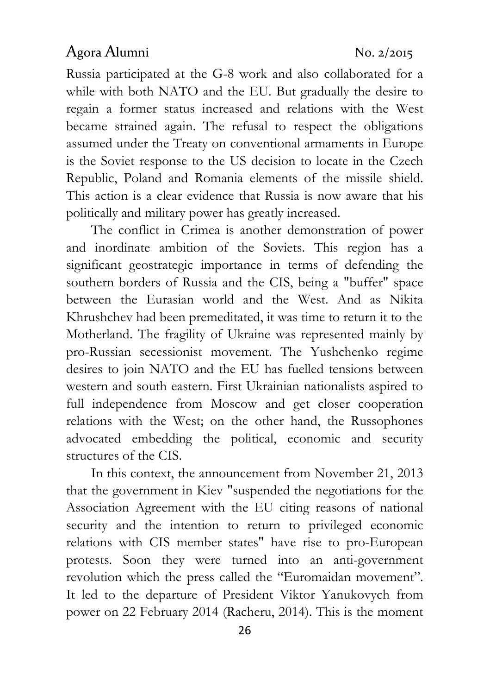Russia participated at the G-8 work and also collaborated for a while with both NATO and the EU. But gradually the desire to regain a former status increased and relations with the West became strained again. The refusal to respect the obligations assumed under the Treaty on conventional armaments in Europe is the Soviet response to the US decision to locate in the Czech Republic, Poland and Romania elements of the missile shield. This action is a clear evidence that Russia is now aware that his politically and military power has greatly increased.

The conflict in Crimea is another demonstration of power and inordinate ambition of the Soviets. This region has a significant geostrategic importance in terms of defending the southern borders of Russia and the CIS, being a "buffer" space between the Eurasian world and the West. And as Nikita Khrushchev had been premeditated, it was time to return it to the Motherland. The fragility of Ukraine was represented mainly by pro-Russian secessionist movement. The Yushchenko regime desires to join NATO and the EU has fuelled tensions between western and south eastern. First Ukrainian nationalists aspired to full independence from Moscow and get closer cooperation relations with the West; on the other hand, the Russophones advocated embedding the political, economic and security structures of the CIS.

In this context, the announcement from November 21, 2013 that the government in Kiev "suspended the negotiations for the Association Agreement with the EU citing reasons of national security and the intention to return to privileged economic relations with CIS member states" have rise to pro-European protests. Soon they were turned into an anti-government revolution which the press called the "Euromaidan movement". It led to the departure of President Viktor Yanukovych from power on 22 February 2014 (Racheru, 2014). This is the moment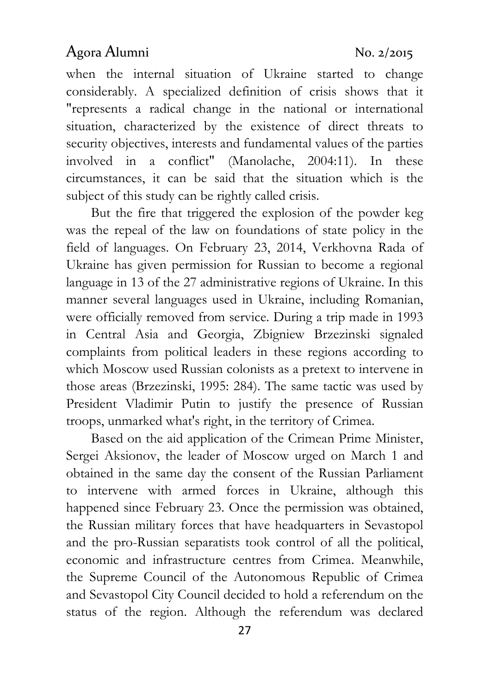when the internal situation of Ukraine started to change considerably. A specialized definition of crisis shows that it "represents a radical change in the national or international situation, characterized by the existence of direct threats to security objectives, interests and fundamental values of the parties involved in a conflict" (Manolache, 2004:11). In these circumstances, it can be said that the situation which is the subject of this study can be rightly called crisis.

But the fire that triggered the explosion of the powder keg was the repeal of the law on foundations of state policy in the field of languages. On February 23, 2014, Verkhovna Rada of Ukraine has given permission for Russian to become a regional language in 13 of the 27 administrative regions of Ukraine. In this manner several languages used in Ukraine, including Romanian, were officially removed from service. During a trip made in 1993 in Central Asia and Georgia, Zbigniew Brzezinski signaled complaints from political leaders in these regions according to which Moscow used Russian colonists as a pretext to intervene in those areas (Brzezinski, 1995: 284). The same tactic was used by President Vladimir Putin to justify the presence of Russian troops, unmarked what's right, in the territory of Crimea.

Based on the aid application of the Crimean Prime Minister, Sergei Aksionov, the leader of Moscow urged on March 1 and obtained in the same day the consent of the Russian Parliament to intervene with armed forces in Ukraine, although this happened since February 23. Once the permission was obtained, the Russian military forces that have headquarters in Sevastopol and the pro-Russian separatists took control of all the political, economic and infrastructure centres from Crimea. Meanwhile, the Supreme Council of the Autonomous Republic of Crimea and Sevastopol City Council decided to hold a referendum on the status of the region. Although the referendum was declared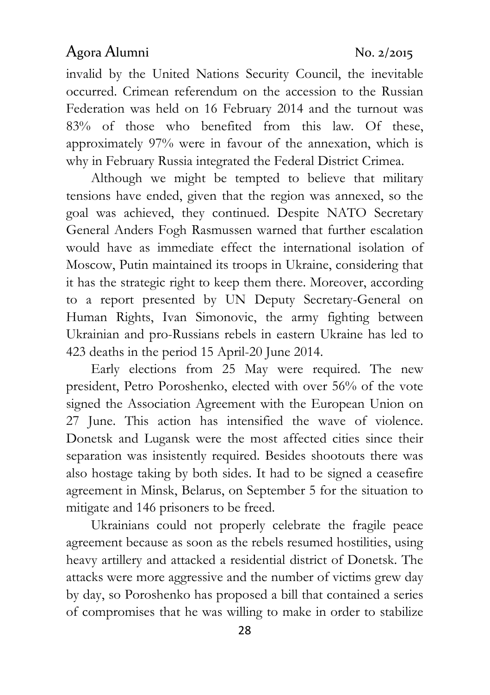invalid by the United Nations Security Council, the inevitable occurred. Crimean referendum on the accession to the Russian Federation was held on 16 February 2014 and the turnout was 83% of those who benefited from this law. Of these, approximately 97% were in favour of the annexation, which is why in February Russia integrated the Federal District Crimea.

Although we might be tempted to believe that military tensions have ended, given that the region was annexed, so the goal was achieved, they continued. Despite NATO Secretary General Anders Fogh Rasmussen warned that further escalation would have as immediate effect the international isolation of Moscow, Putin maintained its troops in Ukraine, considering that it has the strategic right to keep them there. Moreover, according to a report presented by UN Deputy Secretary-General on Human Rights, Ivan Simonovic, the army fighting between Ukrainian and pro-Russians rebels in eastern Ukraine has led to 423 deaths in the period 15 April-20 June 2014.

Early elections from 25 May were required. The new president, Petro Poroshenko, elected with over 56% of the vote signed the Association Agreement with the European Union on 27 June. This action has intensified the wave of violence. Donetsk and Lugansk were the most affected cities since their separation was insistently required. Besides shootouts there was also hostage taking by both sides. It had to be signed a ceasefire agreement in Minsk, Belarus, on September 5 for the situation to mitigate and 146 prisoners to be freed.

Ukrainians could not properly celebrate the fragile peace agreement because as soon as the rebels resumed hostilities, using heavy artillery and attacked a residential district of Donetsk. The attacks were more aggressive and the number of victims grew day by day, so Poroshenko has proposed a bill that contained a series of compromises that he was willing to make in order to stabilize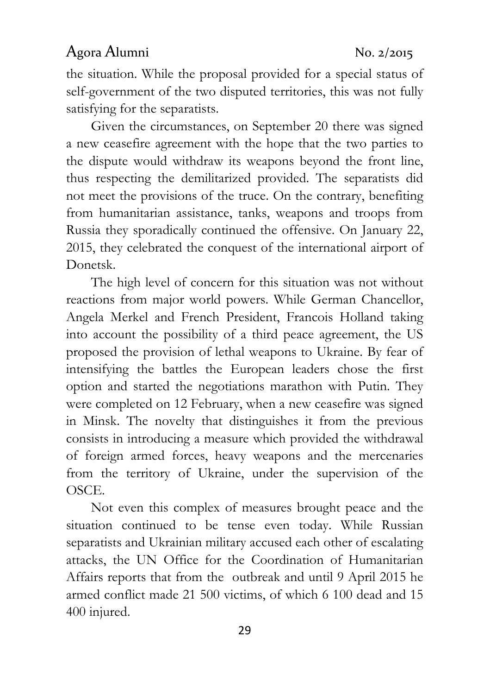the situation. While the proposal provided for a special status of self-government of the two disputed territories, this was not fully satisfying for the separatists.

Given the circumstances, on September 20 there was signed a new ceasefire agreement with the hope that the two parties to the dispute would withdraw its weapons beyond the front line, thus respecting the demilitarized provided. The separatists did not meet the provisions of the truce. On the contrary, benefiting from humanitarian assistance, tanks, weapons and troops from Russia they sporadically continued the offensive. On January 22, 2015, they celebrated the conquest of the international airport of Donetsk.

The high level of concern for this situation was not without reactions from major world powers. While German Chancellor, Angela Merkel and French President, Francois Holland taking into account the possibility of a third peace agreement, the US proposed the provision of lethal weapons to Ukraine. By fear of intensifying the battles the European leaders chose the first option and started the negotiations marathon with Putin. They were completed on 12 February, when a new ceasefire was signed in Minsk. The novelty that distinguishes it from the previous consists in introducing a measure which provided the withdrawal of foreign armed forces, heavy weapons and the mercenaries from the territory of Ukraine, under the supervision of the OSCE.

Not even this complex of measures brought peace and the situation continued to be tense even today. While Russian separatists and Ukrainian military accused each other of escalating attacks, the UN Office for the Coordination of Humanitarian Affairs reports that from the outbreak and until 9 April 2015 he armed conflict made 21 500 victims, of which 6 100 dead and 15 400 injured.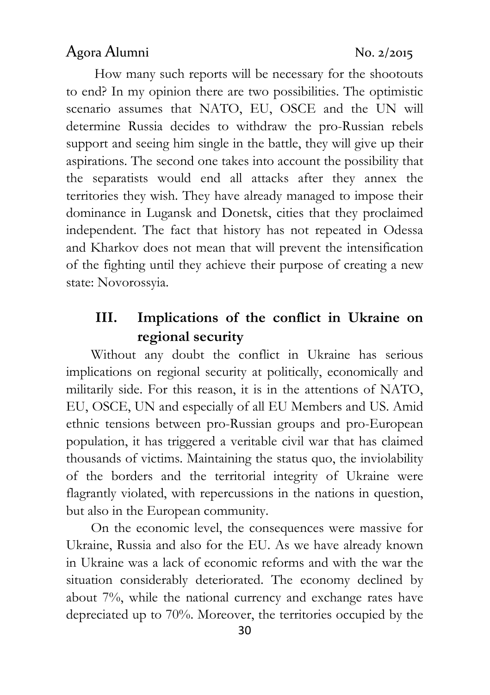How many such reports will be necessary for the shootouts to end? In my opinion there are two possibilities. The optimistic scenario assumes that NATO, EU, OSCE and the UN will determine Russia decides to withdraw the pro-Russian rebels support and seeing him single in the battle, they will give up their aspirations. The second one takes into account the possibility that the separatists would end all attacks after they annex the territories they wish. They have already managed to impose their dominance in Lugansk and Donetsk, cities that they proclaimed independent. The fact that history has not repeated in Odessa and Kharkov does not mean that will prevent the intensification of the fighting until they achieve their purpose of creating a new state: Novorossyia.

# III. Implications of the conflict in Ukraine on regional security

Without any doubt the conflict in Ukraine has serious implications on regional security at politically, economically and militarily side. For this reason, it is in the attentions of NATO, EU, OSCE, UN and especially of all EU Members and US. Amid ethnic tensions between pro-Russian groups and pro-European population, it has triggered a veritable civil war that has claimed thousands of victims. Maintaining the status quo, the inviolability of the borders and the territorial integrity of Ukraine were flagrantly violated, with repercussions in the nations in question, but also in the European community.

On the economic level, the consequences were massive for Ukraine, Russia and also for the EU. As we have already known in Ukraine was a lack of economic reforms and with the war the situation considerably deteriorated. The economy declined by about 7%, while the national currency and exchange rates have depreciated up to 70%. Moreover, the territories occupied by the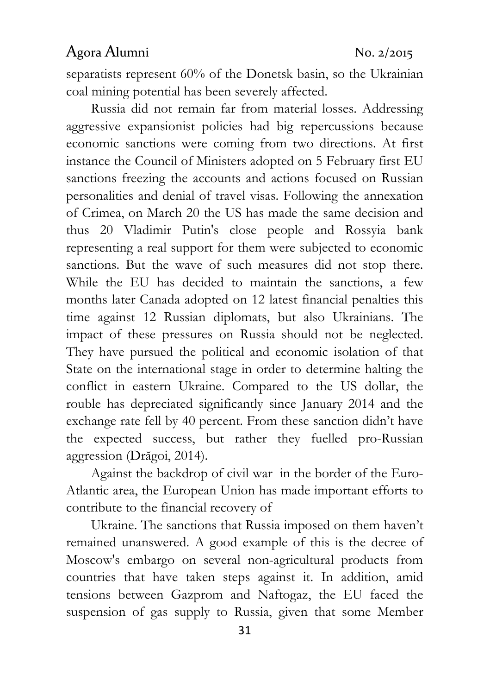separatists represent 60% of the Donetsk basin, so the Ukrainian coal mining potential has been severely affected.

Russia did not remain far from material losses. Addressing aggressive expansionist policies had big repercussions because economic sanctions were coming from two directions. At first instance the Council of Ministers adopted on 5 February first EU sanctions freezing the accounts and actions focused on Russian personalities and denial of travel visas. Following the annexation of Crimea, on March 20 the US has made the same decision and thus 20 Vladimir Putin's close people and Rossyia bank representing a real support for them were subjected to economic sanctions. But the wave of such measures did not stop there. While the EU has decided to maintain the sanctions, a few months later Canada adopted on 12 latest financial penalties this time against 12 Russian diplomats, but also Ukrainians. The impact of these pressures on Russia should not be neglected. They have pursued the political and economic isolation of that State on the international stage in order to determine halting the conflict in eastern Ukraine. Compared to the US dollar, the rouble has depreciated significantly since January 2014 and the exchange rate fell by 40 percent. From these sanction didn't have the expected success, but rather they fuelled pro-Russian aggression (Drăgoi, 2014).

Against the backdrop of civil war in the border of the Euro-Atlantic area, the European Union has made important efforts to contribute to the financial recovery of

Ukraine. The sanctions that Russia imposed on them haven't remained unanswered. A good example of this is the decree of Moscow's embargo on several non-agricultural products from countries that have taken steps against it. In addition, amid tensions between Gazprom and Naftogaz, the EU faced the suspension of gas supply to Russia, given that some Member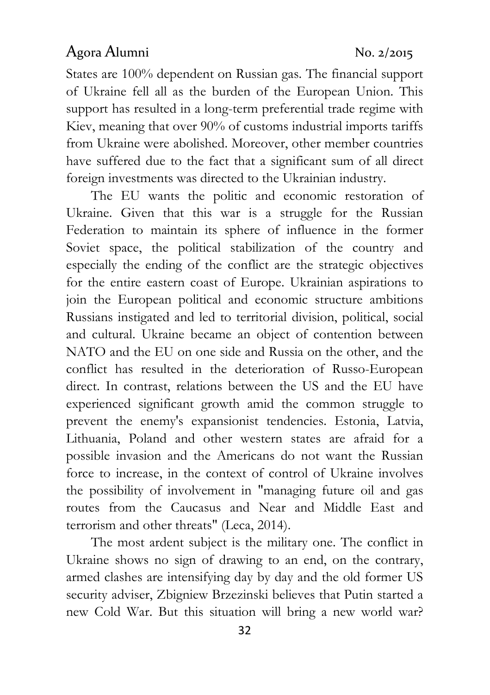States are 100% dependent on Russian gas. The financial support of Ukraine fell all as the burden of the European Union. This support has resulted in a long-term preferential trade regime with Kiev, meaning that over 90% of customs industrial imports tariffs from Ukraine were abolished. Moreover, other member countries have suffered due to the fact that a significant sum of all direct foreign investments was directed to the Ukrainian industry.

The EU wants the politic and economic restoration of Ukraine. Given that this war is a struggle for the Russian Federation to maintain its sphere of influence in the former Soviet space, the political stabilization of the country and especially the ending of the conflict are the strategic objectives for the entire eastern coast of Europe. Ukrainian aspirations to join the European political and economic structure ambitions Russians instigated and led to territorial division, political, social and cultural. Ukraine became an object of contention between NATO and the EU on one side and Russia on the other, and the conflict has resulted in the deterioration of Russo-European direct. In contrast, relations between the US and the EU have experienced significant growth amid the common struggle to prevent the enemy's expansionist tendencies. Estonia, Latvia, Lithuania, Poland and other western states are afraid for a possible invasion and the Americans do not want the Russian force to increase, in the context of control of Ukraine involves the possibility of involvement in "managing future oil and gas routes from the Caucasus and Near and Middle East and terrorism and other threats" (Leca, 2014).

The most ardent subject is the military one. The conflict in Ukraine shows no sign of drawing to an end, on the contrary, armed clashes are intensifying day by day and the old former US security adviser, Zbigniew Brzezinski believes that Putin started a new Cold War. But this situation will bring a new world war?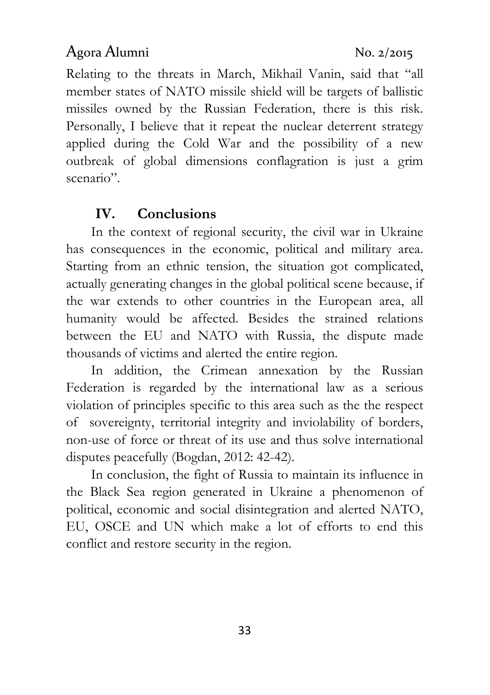Relating to the threats in March, Mikhail Vanin, said that "all member states of NATO missile shield will be targets of ballistic missiles owned by the Russian Federation, there is this risk. Personally, I believe that it repeat the nuclear deterrent strategy applied during the Cold War and the possibility of a new outbreak of global dimensions conflagration is just a grim scenario".

# IV. Conclusions

In the context of regional security, the civil war in Ukraine has consequences in the economic, political and military area. Starting from an ethnic tension, the situation got complicated, actually generating changes in the global political scene because, if the war extends to other countries in the European area, all humanity would be affected. Besides the strained relations between the EU and NATO with Russia, the dispute made thousands of victims and alerted the entire region.

In addition, the Crimean annexation by the Russian Federation is regarded by the international law as a serious violation of principles specific to this area such as the the respect of sovereignty, territorial integrity and inviolability of borders, non-use of force or threat of its use and thus solve international disputes peacefully (Bogdan, 2012: 42-42).

In conclusion, the fight of Russia to maintain its influence in the Black Sea region generated in Ukraine a phenomenon of political, economic and social disintegration and alerted NATO, EU, OSCE and UN which make a lot of efforts to end this conflict and restore security in the region.